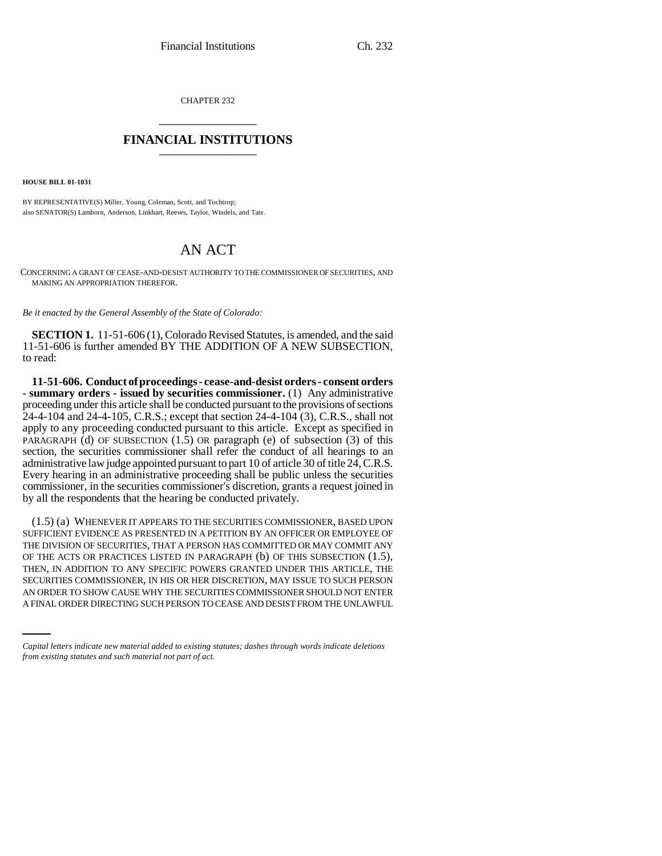CHAPTER 232 \_\_\_\_\_\_\_\_\_\_\_\_\_\_\_

## **FINANCIAL INSTITUTIONS** \_\_\_\_\_\_\_\_\_\_\_\_\_\_\_

**HOUSE BILL 01-1031**

BY REPRESENTATIVE(S) Miller, Young, Coleman, Scott, and Tochtrop; also SENATOR(S) Lamborn, Anderson, Linkhart, Reeves, Taylor, Windels, and Tate.

## AN ACT

CONCERNING A GRANT OF CEASE-AND-DESIST AUTHORITY TO THE COMMISSIONER OF SECURITIES, AND MAKING AN APPROPRIATION THEREFOR.

*Be it enacted by the General Assembly of the State of Colorado:*

**SECTION 1.** 11-51-606 (1), Colorado Revised Statutes, is amended, and the said 11-51-606 is further amended BY THE ADDITION OF A NEW SUBSECTION, to read:

**11-51-606. Conduct of proceedings - cease-and-desist orders - consent orders - summary orders - issued by securities commissioner.** (1) Any administrative proceeding under this article shall be conducted pursuant to the provisions of sections 24-4-104 and 24-4-105, C.R.S.; except that section 24-4-104 (3), C.R.S., shall not apply to any proceeding conducted pursuant to this article. Except as specified in PARAGRAPH (d) OF SUBSECTION  $(1.5)$  OR paragraph (e) of subsection  $(3)$  of this section, the securities commissioner shall refer the conduct of all hearings to an administrative law judge appointed pursuant to part 10 of article 30 of title 24, C.R.S. Every hearing in an administrative proceeding shall be public unless the securities commissioner, in the securities commissioner's discretion, grants a request joined in by all the respondents that the hearing be conducted privately.

SECURITIES COMMISSIONER, IN HIS OR HER DISCRETION, MAY ISSUE TO SUCH PERSON (1.5) (a) WHENEVER IT APPEARS TO THE SECURITIES COMMISSIONER, BASED UPON SUFFICIENT EVIDENCE AS PRESENTED IN A PETITION BY AN OFFICER OR EMPLOYEE OF THE DIVISION OF SECURITIES, THAT A PERSON HAS COMMITTED OR MAY COMMIT ANY OF THE ACTS OR PRACTICES LISTED IN PARAGRAPH (b) OF THIS SUBSECTION (1.5), THEN, IN ADDITION TO ANY SPECIFIC POWERS GRANTED UNDER THIS ARTICLE, THE AN ORDER TO SHOW CAUSE WHY THE SECURITIES COMMISSIONER SHOULD NOT ENTER A FINAL ORDER DIRECTING SUCH PERSON TO CEASE AND DESIST FROM THE UNLAWFUL

*Capital letters indicate new material added to existing statutes; dashes through words indicate deletions from existing statutes and such material not part of act.*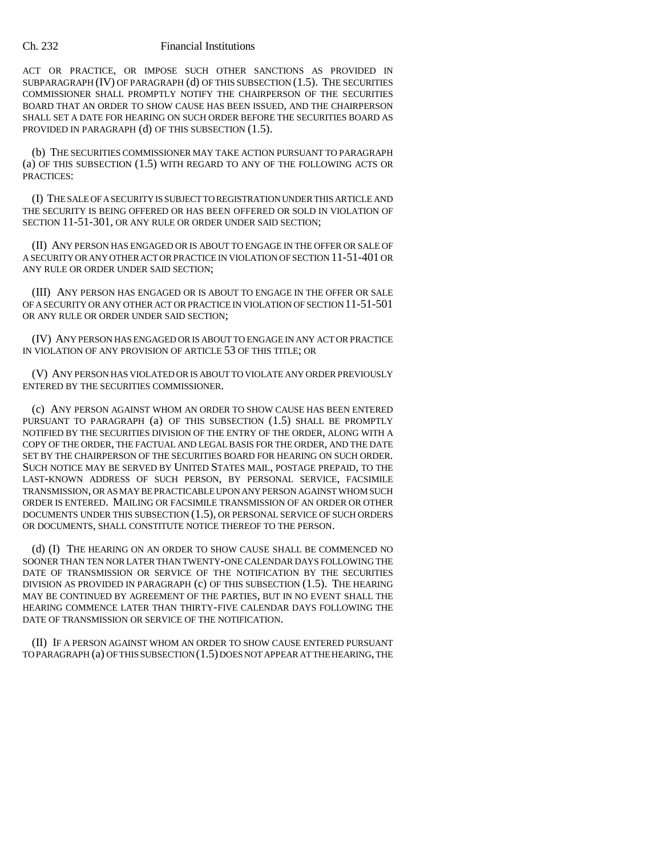## Ch. 232 Financial Institutions

ACT OR PRACTICE, OR IMPOSE SUCH OTHER SANCTIONS AS PROVIDED IN SUBPARAGRAPH (IV) OF PARAGRAPH (d) OF THIS SUBSECTION (1.5). THE SECURITIES COMMISSIONER SHALL PROMPTLY NOTIFY THE CHAIRPERSON OF THE SECURITIES BOARD THAT AN ORDER TO SHOW CAUSE HAS BEEN ISSUED, AND THE CHAIRPERSON SHALL SET A DATE FOR HEARING ON SUCH ORDER BEFORE THE SECURITIES BOARD AS PROVIDED IN PARAGRAPH (d) OF THIS SUBSECTION (1.5).

(b) THE SECURITIES COMMISSIONER MAY TAKE ACTION PURSUANT TO PARAGRAPH (a) OF THIS SUBSECTION (1.5) WITH REGARD TO ANY OF THE FOLLOWING ACTS OR PRACTICES:

(I) THE SALE OF A SECURITY IS SUBJECT TO REGISTRATION UNDER THIS ARTICLE AND THE SECURITY IS BEING OFFERED OR HAS BEEN OFFERED OR SOLD IN VIOLATION OF SECTION 11-51-301, OR ANY RULE OR ORDER UNDER SAID SECTION;

(II) ANY PERSON HAS ENGAGED OR IS ABOUT TO ENGAGE IN THE OFFER OR SALE OF A SECURITY OR ANY OTHER ACT OR PRACTICE IN VIOLATION OF SECTION 11-51-401 OR ANY RULE OR ORDER UNDER SAID SECTION;

(III) ANY PERSON HAS ENGAGED OR IS ABOUT TO ENGAGE IN THE OFFER OR SALE OF A SECURITY OR ANY OTHER ACT OR PRACTICE IN VIOLATION OF SECTION 11-51-501 OR ANY RULE OR ORDER UNDER SAID SECTION;

(IV) ANY PERSON HAS ENGAGED OR IS ABOUT TO ENGAGE IN ANY ACT OR PRACTICE IN VIOLATION OF ANY PROVISION OF ARTICLE 53 OF THIS TITLE; OR

(V) ANY PERSON HAS VIOLATED OR IS ABOUT TO VIOLATE ANY ORDER PREVIOUSLY ENTERED BY THE SECURITIES COMMISSIONER.

(c) ANY PERSON AGAINST WHOM AN ORDER TO SHOW CAUSE HAS BEEN ENTERED PURSUANT TO PARAGRAPH (a) OF THIS SUBSECTION (1.5) SHALL BE PROMPTLY NOTIFIED BY THE SECURITIES DIVISION OF THE ENTRY OF THE ORDER, ALONG WITH A COPY OF THE ORDER, THE FACTUAL AND LEGAL BASIS FOR THE ORDER, AND THE DATE SET BY THE CHAIRPERSON OF THE SECURITIES BOARD FOR HEARING ON SUCH ORDER. SUCH NOTICE MAY BE SERVED BY UNITED STATES MAIL, POSTAGE PREPAID, TO THE LAST-KNOWN ADDRESS OF SUCH PERSON, BY PERSONAL SERVICE, FACSIMILE TRANSMISSION, OR AS MAY BE PRACTICABLE UPON ANY PERSON AGAINST WHOM SUCH ORDER IS ENTERED. MAILING OR FACSIMILE TRANSMISSION OF AN ORDER OR OTHER DOCUMENTS UNDER THIS SUBSECTION (1.5), OR PERSONAL SERVICE OF SUCH ORDERS OR DOCUMENTS, SHALL CONSTITUTE NOTICE THEREOF TO THE PERSON.

(d) (I) THE HEARING ON AN ORDER TO SHOW CAUSE SHALL BE COMMENCED NO SOONER THAN TEN NOR LATER THAN TWENTY-ONE CALENDAR DAYS FOLLOWING THE DATE OF TRANSMISSION OR SERVICE OF THE NOTIFICATION BY THE SECURITIES DIVISION AS PROVIDED IN PARAGRAPH  $(c)$  OF THIS SUBSECTION  $(1.5)$ . The HEARING MAY BE CONTINUED BY AGREEMENT OF THE PARTIES, BUT IN NO EVENT SHALL THE HEARING COMMENCE LATER THAN THIRTY-FIVE CALENDAR DAYS FOLLOWING THE DATE OF TRANSMISSION OR SERVICE OF THE NOTIFICATION.

(II) IF A PERSON AGAINST WHOM AN ORDER TO SHOW CAUSE ENTERED PURSUANT TO PARAGRAPH (a) OF THIS SUBSECTION (1.5) DOES NOT APPEAR AT THE HEARING, THE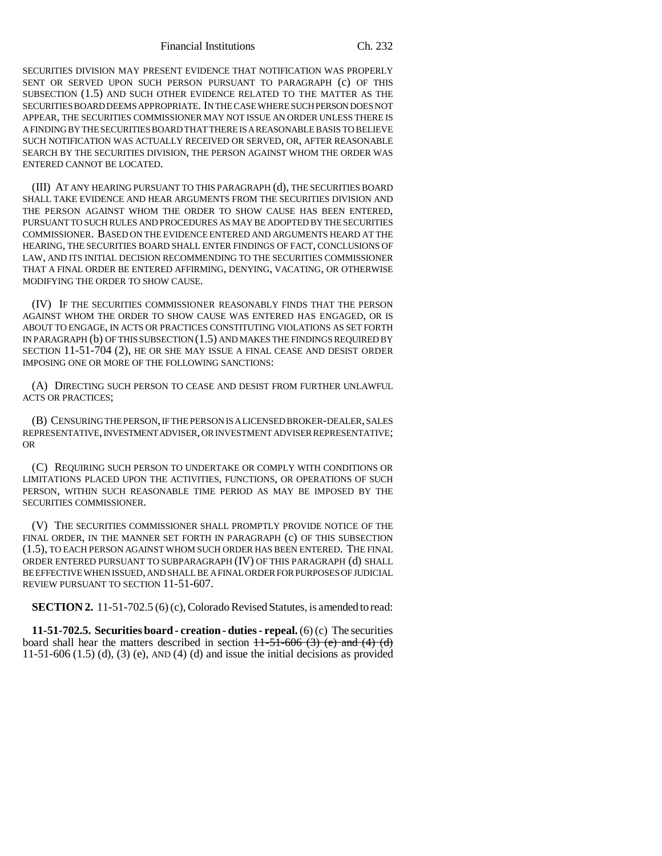Financial Institutions Ch. 232

SECURITIES DIVISION MAY PRESENT EVIDENCE THAT NOTIFICATION WAS PROPERLY SENT OR SERVED UPON SUCH PERSON PURSUANT TO PARAGRAPH (c) OF THIS SUBSECTION (1.5) AND SUCH OTHER EVIDENCE RELATED TO THE MATTER AS THE SECURITIES BOARD DEEMS APPROPRIATE. IN THE CASE WHERE SUCH PERSON DOES NOT APPEAR, THE SECURITIES COMMISSIONER MAY NOT ISSUE AN ORDER UNLESS THERE IS A FINDING BY THE SECURITIES BOARD THAT THERE IS A REASONABLE BASIS TO BELIEVE SUCH NOTIFICATION WAS ACTUALLY RECEIVED OR SERVED, OR, AFTER REASONABLE SEARCH BY THE SECURITIES DIVISION, THE PERSON AGAINST WHOM THE ORDER WAS ENTERED CANNOT BE LOCATED.

(III) AT ANY HEARING PURSUANT TO THIS PARAGRAPH (d), THE SECURITIES BOARD SHALL TAKE EVIDENCE AND HEAR ARGUMENTS FROM THE SECURITIES DIVISION AND THE PERSON AGAINST WHOM THE ORDER TO SHOW CAUSE HAS BEEN ENTERED, PURSUANT TO SUCH RULES AND PROCEDURES AS MAY BE ADOPTED BY THE SECURITIES COMMISSIONER. BASED ON THE EVIDENCE ENTERED AND ARGUMENTS HEARD AT THE HEARING, THE SECURITIES BOARD SHALL ENTER FINDINGS OF FACT, CONCLUSIONS OF LAW, AND ITS INITIAL DECISION RECOMMENDING TO THE SECURITIES COMMISSIONER THAT A FINAL ORDER BE ENTERED AFFIRMING, DENYING, VACATING, OR OTHERWISE MODIFYING THE ORDER TO SHOW CAUSE.

(IV) IF THE SECURITIES COMMISSIONER REASONABLY FINDS THAT THE PERSON AGAINST WHOM THE ORDER TO SHOW CAUSE WAS ENTERED HAS ENGAGED, OR IS ABOUT TO ENGAGE, IN ACTS OR PRACTICES CONSTITUTING VIOLATIONS AS SET FORTH IN PARAGRAPH (b) OF THIS SUBSECTION (1.5) AND MAKES THE FINDINGS REQUIRED BY SECTION 11-51-704 (2), HE OR SHE MAY ISSUE A FINAL CEASE AND DESIST ORDER IMPOSING ONE OR MORE OF THE FOLLOWING SANCTIONS:

(A) DIRECTING SUCH PERSON TO CEASE AND DESIST FROM FURTHER UNLAWFUL ACTS OR PRACTICES;

(B) CENSURING THE PERSON, IF THE PERSON IS A LICENSED BROKER-DEALER, SALES REPRESENTATIVE, INVESTMENT ADVISER, OR INVESTMENT ADVISER REPRESENTATIVE; OR

(C) REQUIRING SUCH PERSON TO UNDERTAKE OR COMPLY WITH CONDITIONS OR LIMITATIONS PLACED UPON THE ACTIVITIES, FUNCTIONS, OR OPERATIONS OF SUCH PERSON, WITHIN SUCH REASONABLE TIME PERIOD AS MAY BE IMPOSED BY THE SECURITIES COMMISSIONER.

(V) THE SECURITIES COMMISSIONER SHALL PROMPTLY PROVIDE NOTICE OF THE FINAL ORDER, IN THE MANNER SET FORTH IN PARAGRAPH (c) OF THIS SUBSECTION (1.5), TO EACH PERSON AGAINST WHOM SUCH ORDER HAS BEEN ENTERED. THE FINAL ORDER ENTERED PURSUANT TO SUBPARAGRAPH (IV) OF THIS PARAGRAPH (d) SHALL BE EFFECTIVE WHEN ISSUED, AND SHALL BE A FINAL ORDER FOR PURPOSES OF JUDICIAL REVIEW PURSUANT TO SECTION 11-51-607.

**SECTION 2.** 11-51-702.5 (6) (c), Colorado Revised Statutes, is amended to read:

**11-51-702.5. Securities board - creation - duties - repeal.** (6) (c) The securities board shall hear the matters described in section  $11-51-606$  (3) (e) and (4) (d) 11-51-606 (1.5) (d), (3) (e), AND (4) (d) and issue the initial decisions as provided